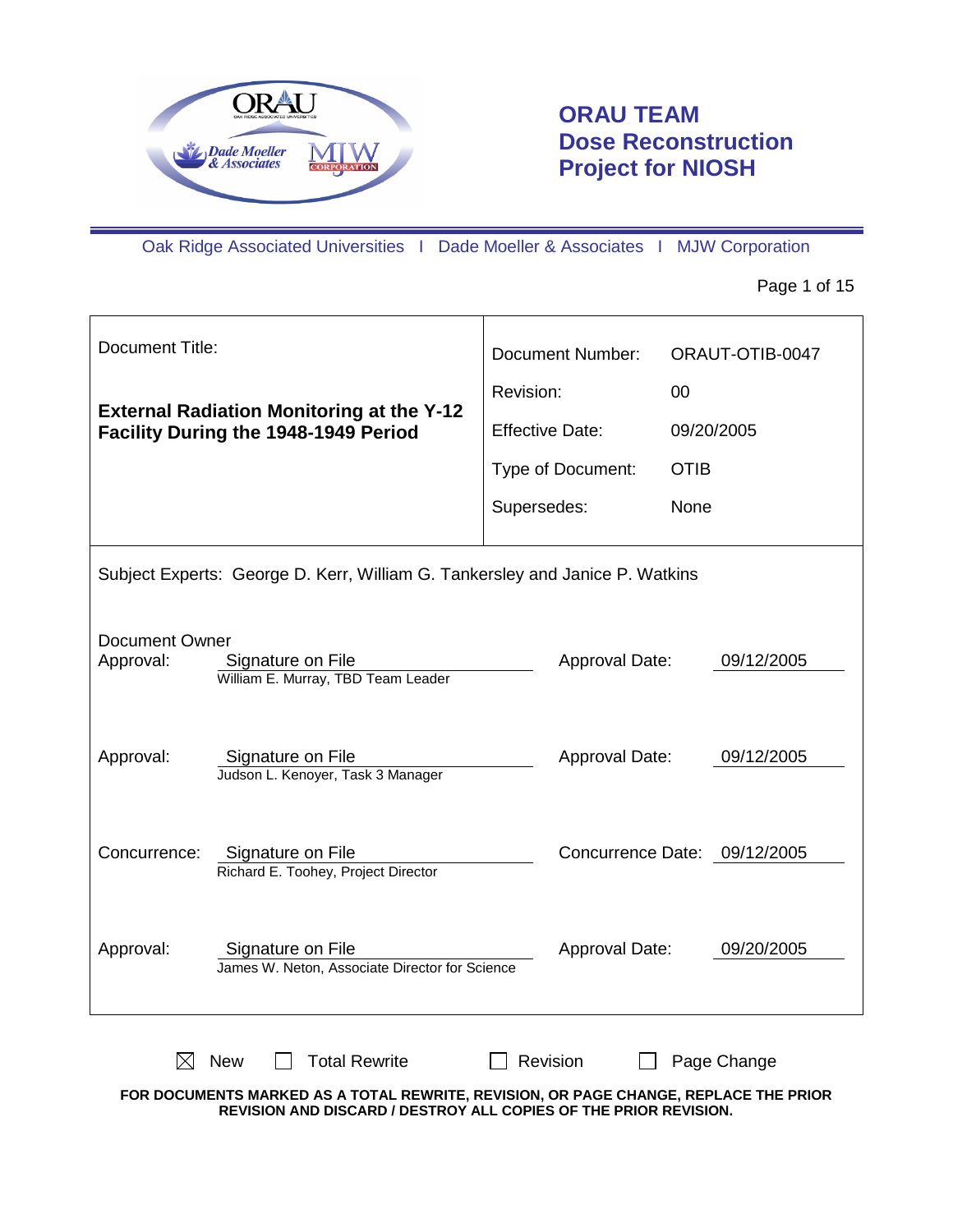

# **ORAU TEAM Dose Reconstruction Project for NIOSH**

Oak Ridge Associated Universities I Dade Moeller & Associates I MJW Corporation

Page 1 of 15

| Document Title:                                                                     |                                                                                          |             | <b>Document Number:</b>      |             | ORAUT-OTIB-0047 |
|-------------------------------------------------------------------------------------|------------------------------------------------------------------------------------------|-------------|------------------------------|-------------|-----------------|
|                                                                                     |                                                                                          | Revision:   |                              | 00          |                 |
|                                                                                     | <b>External Radiation Monitoring at the Y-12</b><br>Facility During the 1948-1949 Period |             | <b>Effective Date:</b>       |             | 09/20/2005      |
|                                                                                     |                                                                                          |             | Type of Document:            | <b>OTIB</b> |                 |
|                                                                                     |                                                                                          | Supersedes: |                              | None        |                 |
| Subject Experts: George D. Kerr, William G. Tankersley and Janice P. Watkins        |                                                                                          |             |                              |             |                 |
| Document Owner<br>Approval:                                                         | Signature on File<br>William E. Murray, TBD Team Leader                                  |             | Approval Date:               |             | 09/12/2005      |
| Approval:                                                                           | Approval Date:<br>09/12/2005<br>Signature on File<br>Judson L. Kenoyer, Task 3 Manager   |             |                              |             |                 |
| Concurrence:<br>Signature on File<br>Richard E. Toohey, Project Director            |                                                                                          |             | Concurrence Date: 09/12/2005 |             |                 |
| Approval:                                                                           | Signature on File<br>James W. Neton, Associate Director for Science                      |             | Approval Date:               |             | 09/20/2005      |
| <b>Total Rewrite</b><br>Revision<br><b>New</b><br>Page Change<br>IXI<br>E TUE DDIAD |                                                                                          |             |                              |             |                 |

**FOR DOCUMENTS MARKED AS A TOTAL REWRITE, REVISION, OR PAGE CHANGE, REPLACE THE PRIOR REVISION AND DISCARD / DESTROY ALL COPIES OF THE PRIOR REVISION.**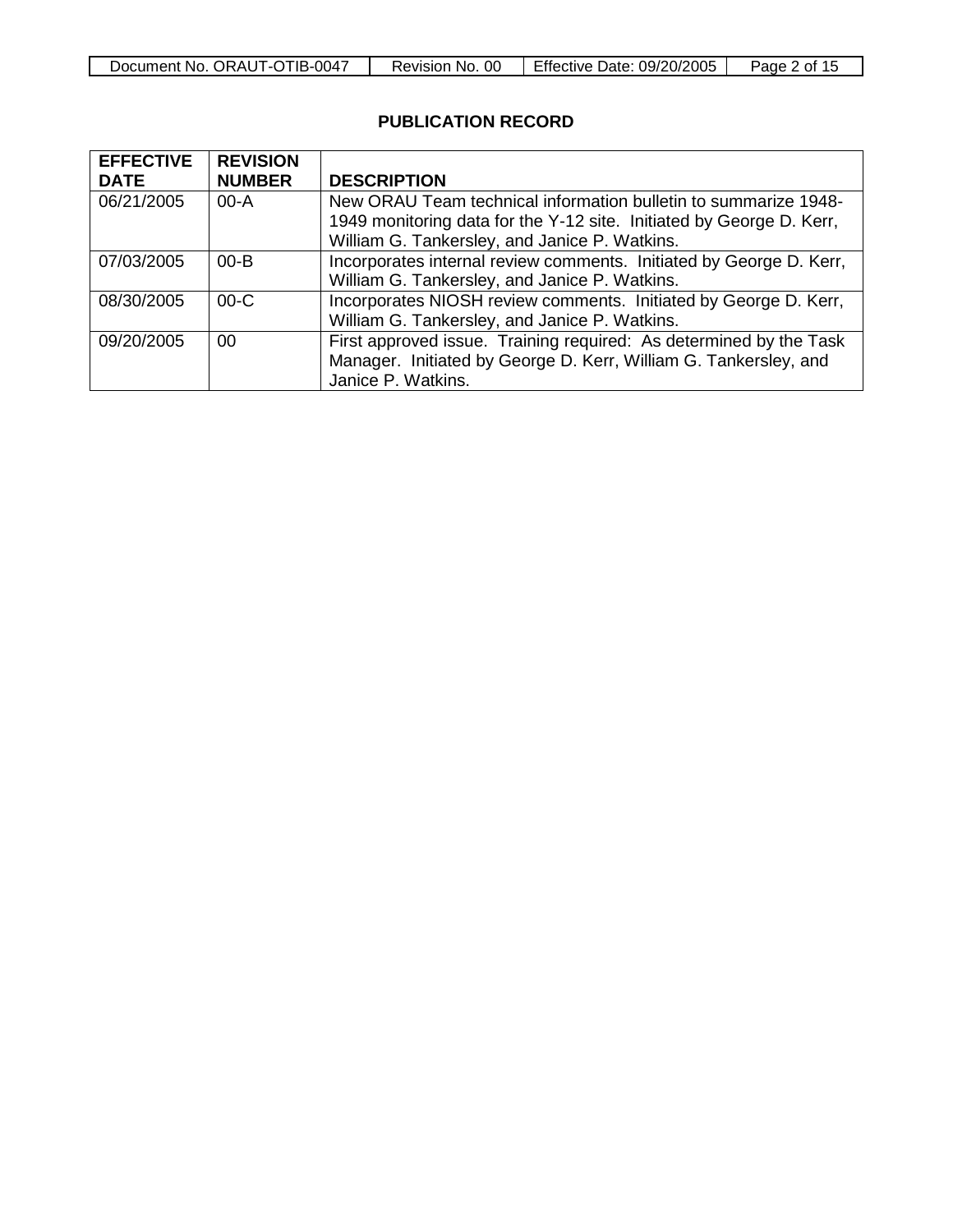| <b>TIB-0047</b><br>ORAUT-OT<br>Document No. | <sub>OC</sub><br>No.<br>Revision | <b>Effective Date:</b><br>09/20/2005 | Page<br>0t<br>. |
|---------------------------------------------|----------------------------------|--------------------------------------|-----------------|

## **PUBLICATION RECORD**

| <b>EFFECTIVE</b> | <b>REVISION</b> |                                                                                                                                                                                          |
|------------------|-----------------|------------------------------------------------------------------------------------------------------------------------------------------------------------------------------------------|
| <b>DATE</b>      | <b>NUMBER</b>   | <b>DESCRIPTION</b>                                                                                                                                                                       |
| 06/21/2005       | $00-A$          | New ORAU Team technical information bulletin to summarize 1948-<br>1949 monitoring data for the Y-12 site. Initiated by George D. Kerr,<br>William G. Tankersley, and Janice P. Watkins. |
| 07/03/2005       | $00 - B$        | Incorporates internal review comments. Initiated by George D. Kerr,<br>William G. Tankersley, and Janice P. Watkins.                                                                     |
| 08/30/2005       | $00-C$          | Incorporates NIOSH review comments. Initiated by George D. Kerr,<br>William G. Tankersley, and Janice P. Watkins.                                                                        |
| 09/20/2005       | 00              | First approved issue. Training required: As determined by the Task<br>Manager. Initiated by George D. Kerr, William G. Tankersley, and<br>Janice P. Watkins.                             |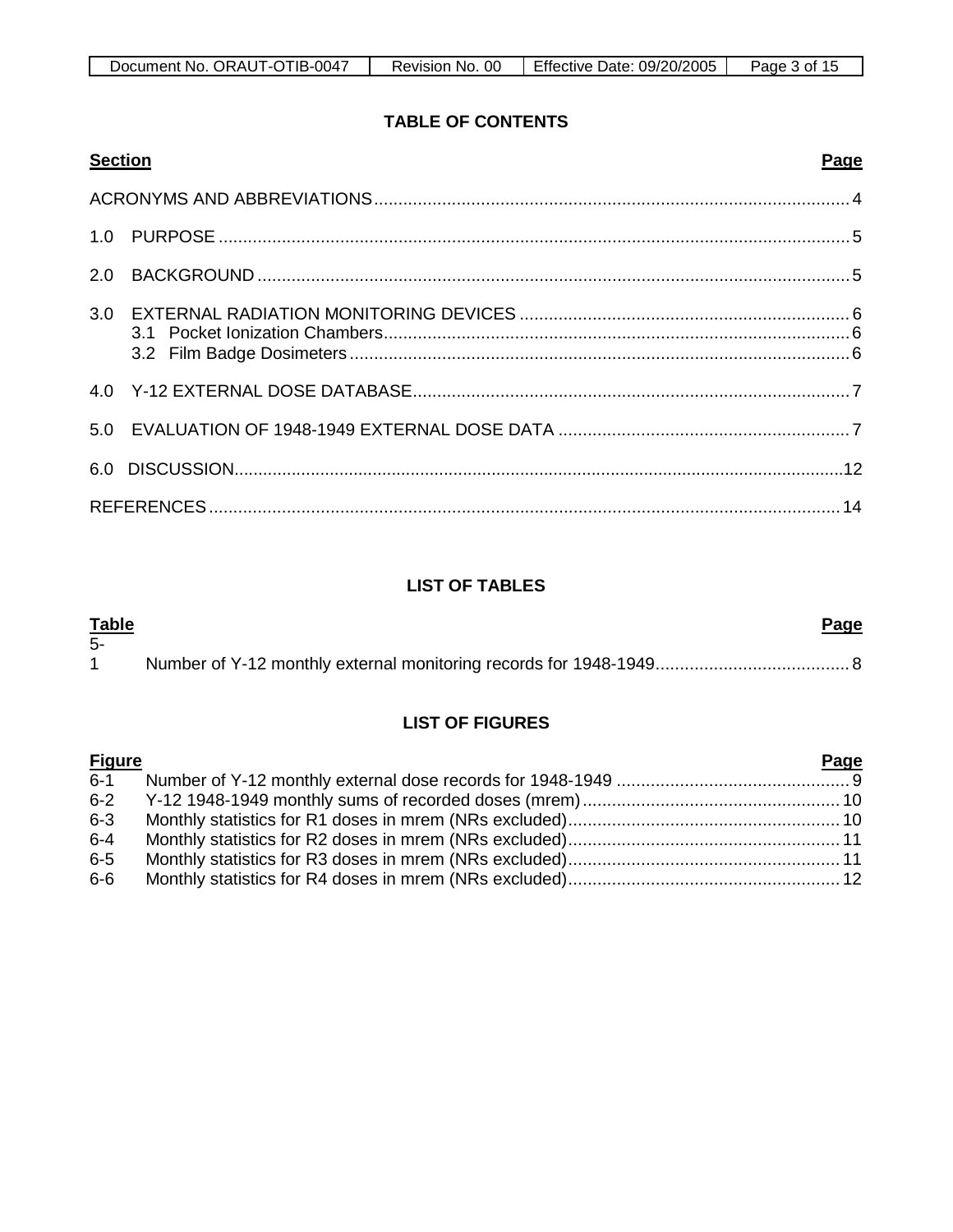## **TABLE OF CONTENTS**

|     | <b>Section</b> | Page |
|-----|----------------|------|
|     |                |      |
|     |                |      |
| 2.0 |                |      |
|     |                |      |
|     |                |      |
|     |                |      |
|     |                |      |
|     |                |      |

## **LIST OF TABLES**

| <u>Table</u><br>-5- | <u>Page</u> |  |
|---------------------|-------------|--|
|                     |             |  |

## **LIST OF FIGURES**

| <b>Figure</b> | Page |
|---------------|------|
|               |      |
|               |      |
| $6-3$         |      |
| $6 - 4$       |      |
| $6-5$         |      |
| $6-6$         |      |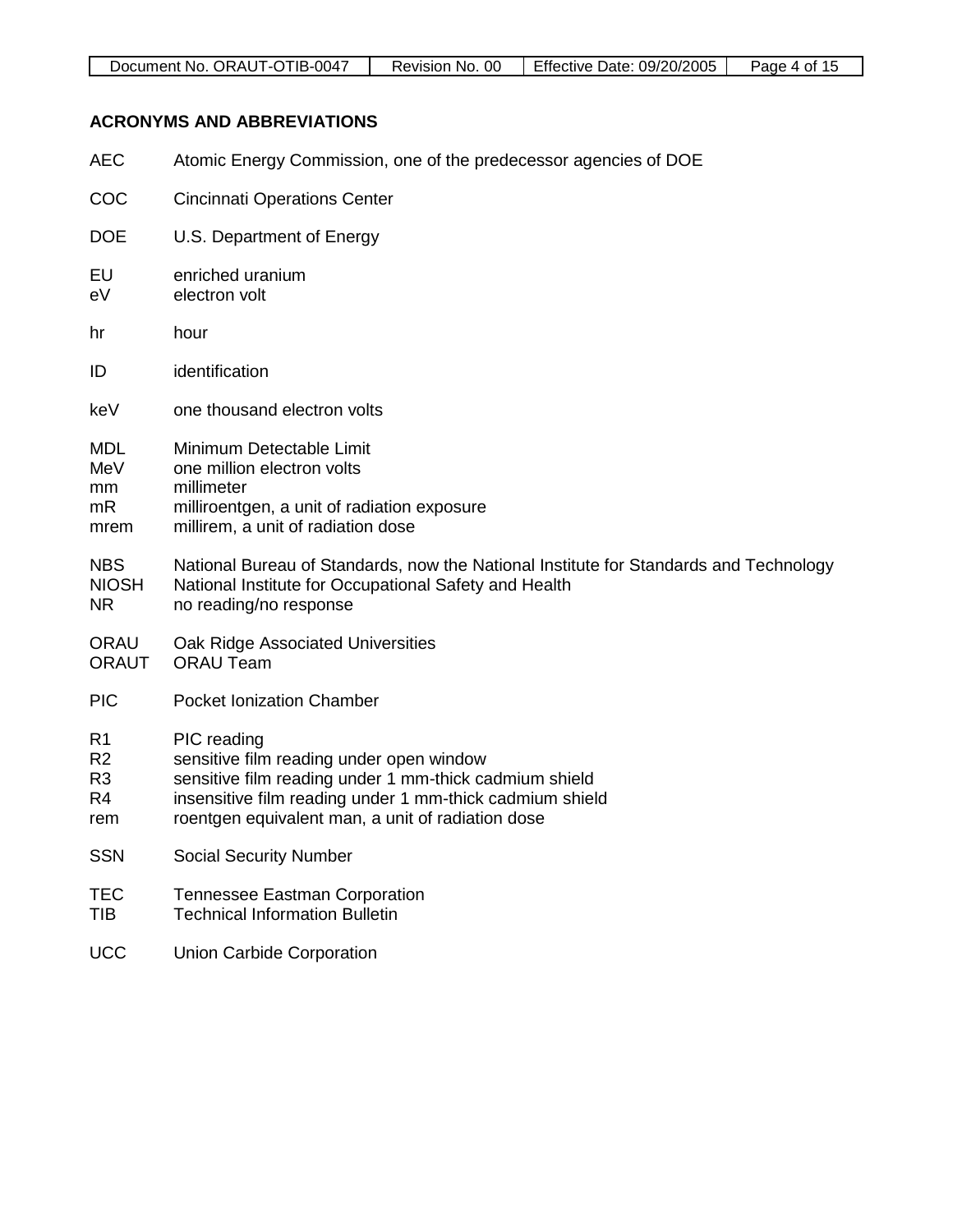| ⊺IB-∖<br>0047<br>Л<br>JRAI.<br>Document<br>No.<br>--<br>$\sim$ | 0C<br>NG.<br>Revision | 09/20/2005<br>Effective<br>Jate: | Page<br>ΩŤ<br>. |
|----------------------------------------------------------------|-----------------------|----------------------------------|-----------------|

## **ACRONYMS AND ABBREVIATIONS**

| <b>AEC</b>                                                                  | Atomic Energy Commission, one of the predecessor agencies of DOE                                                                                                                                                                   |
|-----------------------------------------------------------------------------|------------------------------------------------------------------------------------------------------------------------------------------------------------------------------------------------------------------------------------|
| COC                                                                         | <b>Cincinnati Operations Center</b>                                                                                                                                                                                                |
| <b>DOE</b>                                                                  | U.S. Department of Energy                                                                                                                                                                                                          |
| EU<br>eV                                                                    | enriched uranium<br>electron volt                                                                                                                                                                                                  |
| hr                                                                          | hour                                                                                                                                                                                                                               |
| ID                                                                          | identification                                                                                                                                                                                                                     |
| keV                                                                         | one thousand electron volts                                                                                                                                                                                                        |
| <b>MDL</b><br>MeV<br>mm<br>mR<br>mrem                                       | Minimum Detectable Limit<br>one million electron volts<br>millimeter<br>milliroentgen, a unit of radiation exposure<br>millirem, a unit of radiation dose                                                                          |
| <b>NBS</b><br><b>NIOSH</b><br><b>NR</b>                                     | National Bureau of Standards, now the National Institute for Standards and Technology<br>National Institute for Occupational Safety and Health<br>no reading/no response                                                           |
| <b>ORAU</b><br><b>ORAUT</b>                                                 | Oak Ridge Associated Universities<br><b>ORAU Team</b>                                                                                                                                                                              |
| <b>PIC</b>                                                                  | <b>Pocket Ionization Chamber</b>                                                                                                                                                                                                   |
| R <sub>1</sub><br>R <sub>2</sub><br>R <sub>3</sub><br>R <sub>4</sub><br>rem | PIC reading<br>sensitive film reading under open window<br>sensitive film reading under 1 mm-thick cadmium shield<br>insensitive film reading under 1 mm-thick cadmium shield<br>roentgen equivalent man, a unit of radiation dose |
| <b>SSN</b>                                                                  | <b>Social Security Number</b>                                                                                                                                                                                                      |
| TEC<br><b>TIB</b>                                                           | <b>Tennessee Eastman Corporation</b><br><b>Technical Information Bulletin</b>                                                                                                                                                      |

UCC Union Carbide Corporation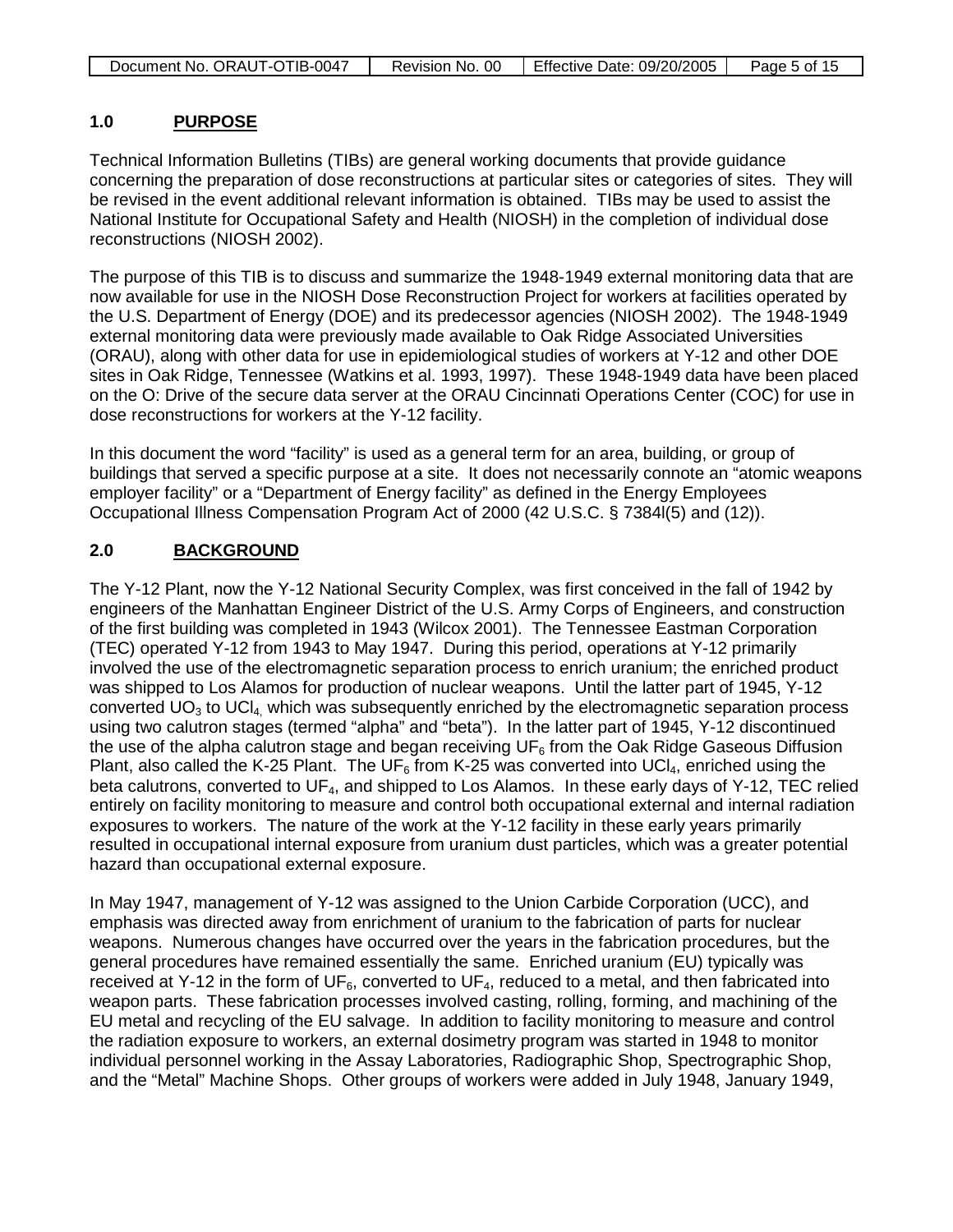| Document No. ORAUT-OTIB-0047 | Revision No. 00 | Effective Date: 09/20/2005 | Page 5 of 15 |
|------------------------------|-----------------|----------------------------|--------------|

#### **1.0 PURPOSE**

Technical Information Bulletins (TIBs) are general working documents that provide guidance concerning the preparation of dose reconstructions at particular sites or categories of sites. They will be revised in the event additional relevant information is obtained. TIBs may be used to assist the National Institute for Occupational Safety and Health (NIOSH) in the completion of individual dose reconstructions (NIOSH 2002).

The purpose of this TIB is to discuss and summarize the 1948-1949 external monitoring data that are now available for use in the NIOSH Dose Reconstruction Project for workers at facilities operated by the U.S. Department of Energy (DOE) and its predecessor agencies (NIOSH 2002). The 1948-1949 external monitoring data were previously made available to Oak Ridge Associated Universities (ORAU), along with other data for use in epidemiological studies of workers at Y-12 and other DOE sites in Oak Ridge, Tennessee (Watkins et al. 1993, 1997). These 1948-1949 data have been placed on the O: Drive of the secure data server at the ORAU Cincinnati Operations Center (COC) for use in dose reconstructions for workers at the Y-12 facility.

In this document the word "facility" is used as a general term for an area, building, or group of buildings that served a specific purpose at a site. It does not necessarily connote an "atomic weapons employer facility" or a "Department of Energy facility" as defined in the Energy Employees Occupational Illness Compensation Program Act of 2000 (42 U.S.C. § 7384l(5) and (12)).

#### **2.0 BACKGROUND**

The Y-12 Plant, now the Y-12 National Security Complex, was first conceived in the fall of 1942 by engineers of the Manhattan Engineer District of the U.S. Army Corps of Engineers, and construction of the first building was completed in 1943 (Wilcox 2001). The Tennessee Eastman Corporation (TEC) operated Y-12 from 1943 to May 1947. During this period, operations at Y-12 primarily involved the use of the electromagnetic separation process to enrich uranium; the enriched product was shipped to Los Alamos for production of nuclear weapons. Until the latter part of 1945, Y-12 converted  $UO<sub>3</sub>$  to  $UCl<sub>4</sub>$ , which was subsequently enriched by the electromagnetic separation process using two calutron stages (termed "alpha" and "beta"). In the latter part of 1945, Y-12 discontinued the use of the alpha calutron stage and began receiving  $UF<sub>6</sub>$  from the Oak Ridge Gaseous Diffusion Plant, also called the K-25 Plant. The UF<sub>6</sub> from K-25 was converted into UCl<sub>4</sub>, enriched using the beta calutrons, converted to  $UF_4$ , and shipped to Los Alamos. In these early days of Y-12, TEC relied entirely on facility monitoring to measure and control both occupational external and internal radiation exposures to workers. The nature of the work at the Y-12 facility in these early years primarily resulted in occupational internal exposure from uranium dust particles, which was a greater potential hazard than occupational external exposure.

In May 1947, management of Y-12 was assigned to the Union Carbide Corporation (UCC), and emphasis was directed away from enrichment of uranium to the fabrication of parts for nuclear weapons. Numerous changes have occurred over the years in the fabrication procedures, but the general procedures have remained essentially the same. Enriched uranium (EU) typically was received at Y-12 in the form of  $UF_6$ , converted to  $UF_4$ , reduced to a metal, and then fabricated into weapon parts. These fabrication processes involved casting, rolling, forming, and machining of the EU metal and recycling of the EU salvage. In addition to facility monitoring to measure and control the radiation exposure to workers, an external dosimetry program was started in 1948 to monitor individual personnel working in the Assay Laboratories, Radiographic Shop, Spectrographic Shop, and the "Metal" Machine Shops. Other groups of workers were added in July 1948, January 1949,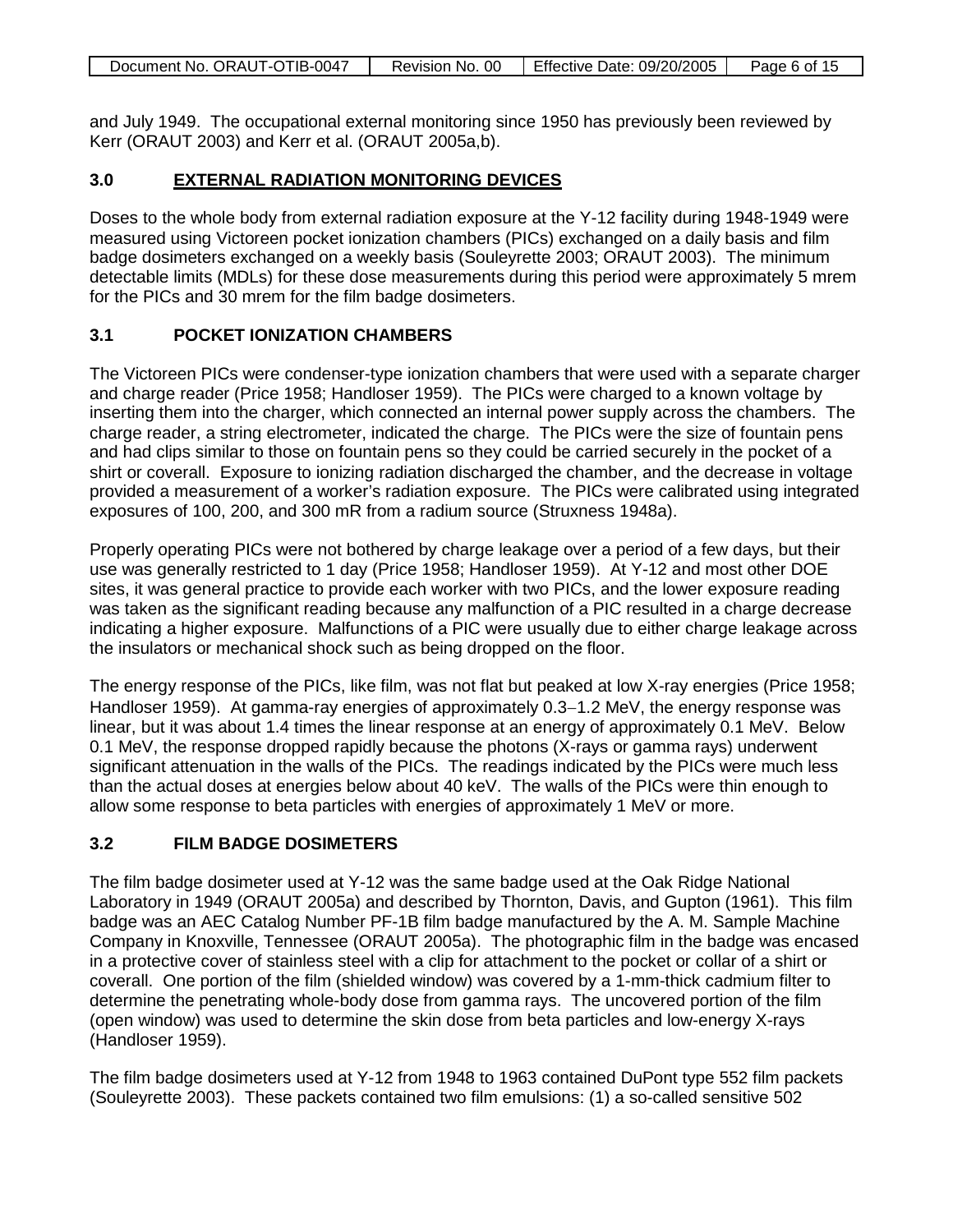| Document No. ORAUT-OTIB-0047 | Revision No. 00 | Effective Date: 09/20/2005 | Page 6 of 15 |
|------------------------------|-----------------|----------------------------|--------------|

and July 1949. The occupational external monitoring since 1950 has previously been reviewed by Kerr (ORAUT 2003) and Kerr et al. (ORAUT 2005a,b).

#### **3.0 EXTERNAL RADIATION MONITORING DEVICES**

Doses to the whole body from external radiation exposure at the Y-12 facility during 1948-1949 were measured using Victoreen pocket ionization chambers (PICs) exchanged on a daily basis and film badge dosimeters exchanged on a weekly basis (Souleyrette 2003; ORAUT 2003). The minimum detectable limits (MDLs) for these dose measurements during this period were approximately 5 mrem for the PICs and 30 mrem for the film badge dosimeters.

### **3.1 POCKET IONIZATION CHAMBERS**

The Victoreen PICs were condenser-type ionization chambers that were used with a separate charger and charge reader (Price 1958; Handloser 1959). The PICs were charged to a known voltage by inserting them into the charger, which connected an internal power supply across the chambers. The charge reader, a string electrometer, indicated the charge. The PICs were the size of fountain pens and had clips similar to those on fountain pens so they could be carried securely in the pocket of a shirt or coverall. Exposure to ionizing radiation discharged the chamber, and the decrease in voltage provided a measurement of a worker's radiation exposure. The PICs were calibrated using integrated exposures of 100, 200, and 300 mR from a radium source (Struxness 1948a).

Properly operating PICs were not bothered by charge leakage over a period of a few days, but their use was generally restricted to 1 day (Price 1958; Handloser 1959). At Y-12 and most other DOE sites, it was general practice to provide each worker with two PICs, and the lower exposure reading was taken as the significant reading because any malfunction of a PIC resulted in a charge decrease indicating a higher exposure. Malfunctions of a PIC were usually due to either charge leakage across the insulators or mechanical shock such as being dropped on the floor.

The energy response of the PICs, like film, was not flat but peaked at low X-ray energies (Price 1958; Handloser 1959). At gamma-ray energies of approximately 0.3–1.2 MeV, the energy response was linear, but it was about 1.4 times the linear response at an energy of approximately 0.1 MeV. Below 0.1 MeV, the response dropped rapidly because the photons (X-rays or gamma rays) underwent significant attenuation in the walls of the PICs. The readings indicated by the PICs were much less than the actual doses at energies below about 40 keV. The walls of the PICs were thin enough to allow some response to beta particles with energies of approximately 1 MeV or more.

### **3.2 FILM BADGE DOSIMETERS**

The film badge dosimeter used at Y-12 was the same badge used at the Oak Ridge National Laboratory in 1949 (ORAUT 2005a) and described by Thornton, Davis, and Gupton (1961). This film badge was an AEC Catalog Number PF-1B film badge manufactured by the A. M. Sample Machine Company in Knoxville, Tennessee (ORAUT 2005a). The photographic film in the badge was encased in a protective cover of stainless steel with a clip for attachment to the pocket or collar of a shirt or coverall. One portion of the film (shielded window) was covered by a 1-mm-thick cadmium filter to determine the penetrating whole-body dose from gamma rays. The uncovered portion of the film (open window) was used to determine the skin dose from beta particles and low-energy X-rays (Handloser 1959).

The film badge dosimeters used at Y-12 from 1948 to 1963 contained DuPont type 552 film packets (Souleyrette 2003). These packets contained two film emulsions: (1) a so-called sensitive 502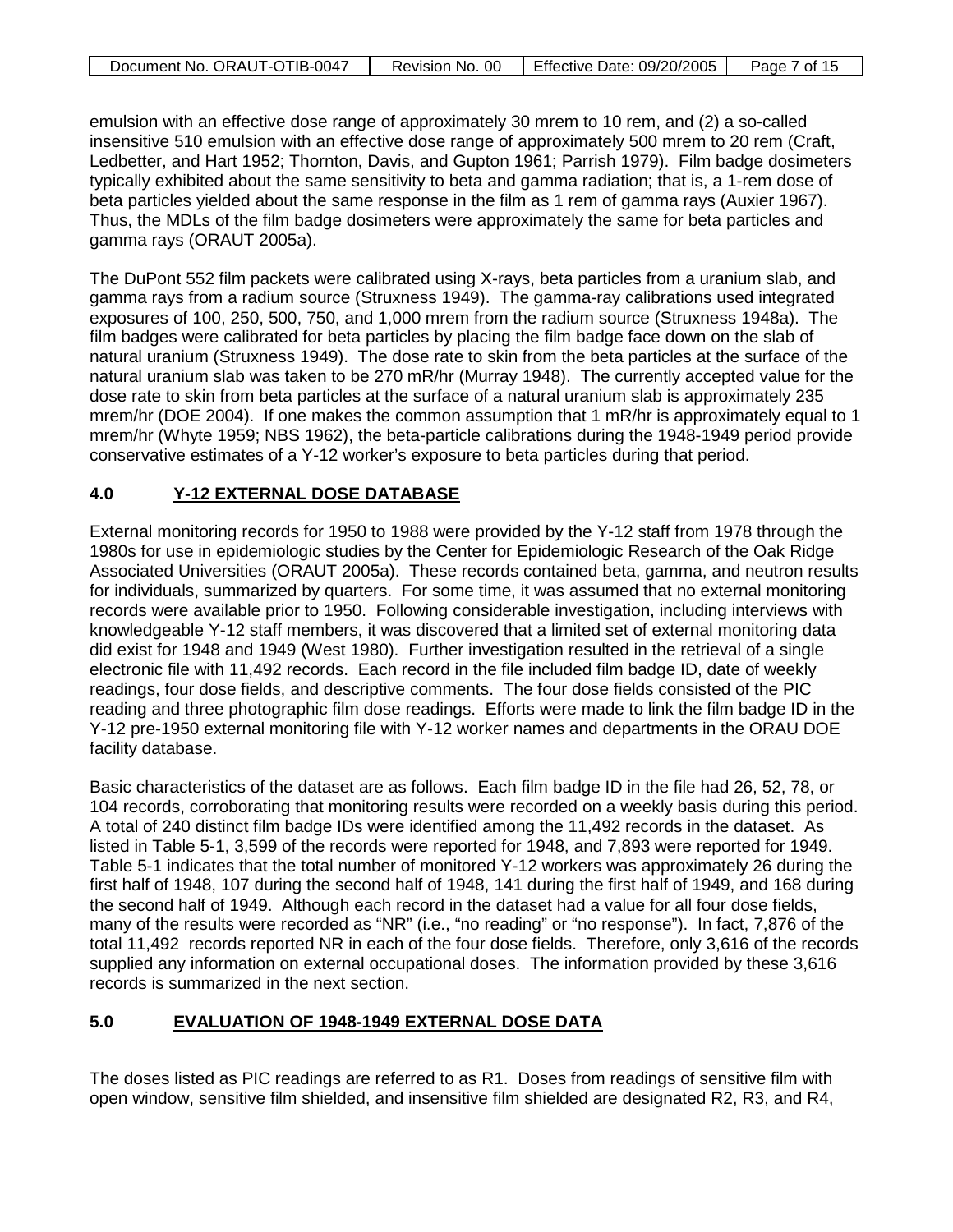| Document No. ORAUT-OTIB-0047 | Revision No. 00 | Effective Date: 09/20/2005 | Page 7 of 15 |
|------------------------------|-----------------|----------------------------|--------------|

emulsion with an effective dose range of approximately 30 mrem to 10 rem, and (2) a so-called insensitive 510 emulsion with an effective dose range of approximately 500 mrem to 20 rem (Craft, Ledbetter, and Hart 1952; Thornton, Davis, and Gupton 1961; Parrish 1979). Film badge dosimeters typically exhibited about the same sensitivity to beta and gamma radiation; that is, a 1-rem dose of beta particles yielded about the same response in the film as 1 rem of gamma rays (Auxier 1967). Thus, the MDLs of the film badge dosimeters were approximately the same for beta particles and gamma rays (ORAUT 2005a).

The DuPont 552 film packets were calibrated using X-rays, beta particles from a uranium slab, and gamma rays from a radium source (Struxness 1949). The gamma-ray calibrations used integrated exposures of 100, 250, 500, 750, and 1,000 mrem from the radium source (Struxness 1948a). The film badges were calibrated for beta particles by placing the film badge face down on the slab of natural uranium (Struxness 1949). The dose rate to skin from the beta particles at the surface of the natural uranium slab was taken to be 270 mR/hr (Murray 1948). The currently accepted value for the dose rate to skin from beta particles at the surface of a natural uranium slab is approximately 235 mrem/hr (DOE 2004). If one makes the common assumption that 1 mR/hr is approximately equal to 1 mrem/hr (Whyte 1959; NBS 1962), the beta-particle calibrations during the 1948-1949 period provide conservative estimates of a Y-12 worker's exposure to beta particles during that period.

#### **4.0 Y-12 EXTERNAL DOSE DATABASE**

External monitoring records for 1950 to 1988 were provided by the Y-12 staff from 1978 through the 1980s for use in epidemiologic studies by the Center for Epidemiologic Research of the Oak Ridge Associated Universities (ORAUT 2005a). These records contained beta, gamma, and neutron results for individuals, summarized by quarters. For some time, it was assumed that no external monitoring records were available prior to 1950. Following considerable investigation, including interviews with knowledgeable Y-12 staff members, it was discovered that a limited set of external monitoring data did exist for 1948 and 1949 (West 1980). Further investigation resulted in the retrieval of a single electronic file with 11,492 records. Each record in the file included film badge ID, date of weekly readings, four dose fields, and descriptive comments. The four dose fields consisted of the PIC reading and three photographic film dose readings. Efforts were made to link the film badge ID in the Y-12 pre-1950 external monitoring file with Y-12 worker names and departments in the ORAU DOE facility database.

Basic characteristics of the dataset are as follows. Each film badge ID in the file had 26, 52, 78, or 104 records, corroborating that monitoring results were recorded on a weekly basis during this period. A total of 240 distinct film badge IDs were identified among the 11,492 records in the dataset. As listed in Table 5-1, 3,599 of the records were reported for 1948, and 7,893 were reported for 1949. Table 5-1 indicates that the total number of monitored Y-12 workers was approximately 26 during the first half of 1948, 107 during the second half of 1948, 141 during the first half of 1949, and 168 during the second half of 1949. Although each record in the dataset had a value for all four dose fields, many of the results were recorded as "NR" (i.e., "no reading" or "no response"). In fact, 7,876 of the total 11,492 records reported NR in each of the four dose fields. Therefore, only 3,616 of the records supplied any information on external occupational doses. The information provided by these 3,616 records is summarized in the next section.

#### **5.0 EVALUATION OF 1948-1949 EXTERNAL DOSE DATA**

The doses listed as PIC readings are referred to as R1. Doses from readings of sensitive film with open window, sensitive film shielded, and insensitive film shielded are designated R2, R3, and R4,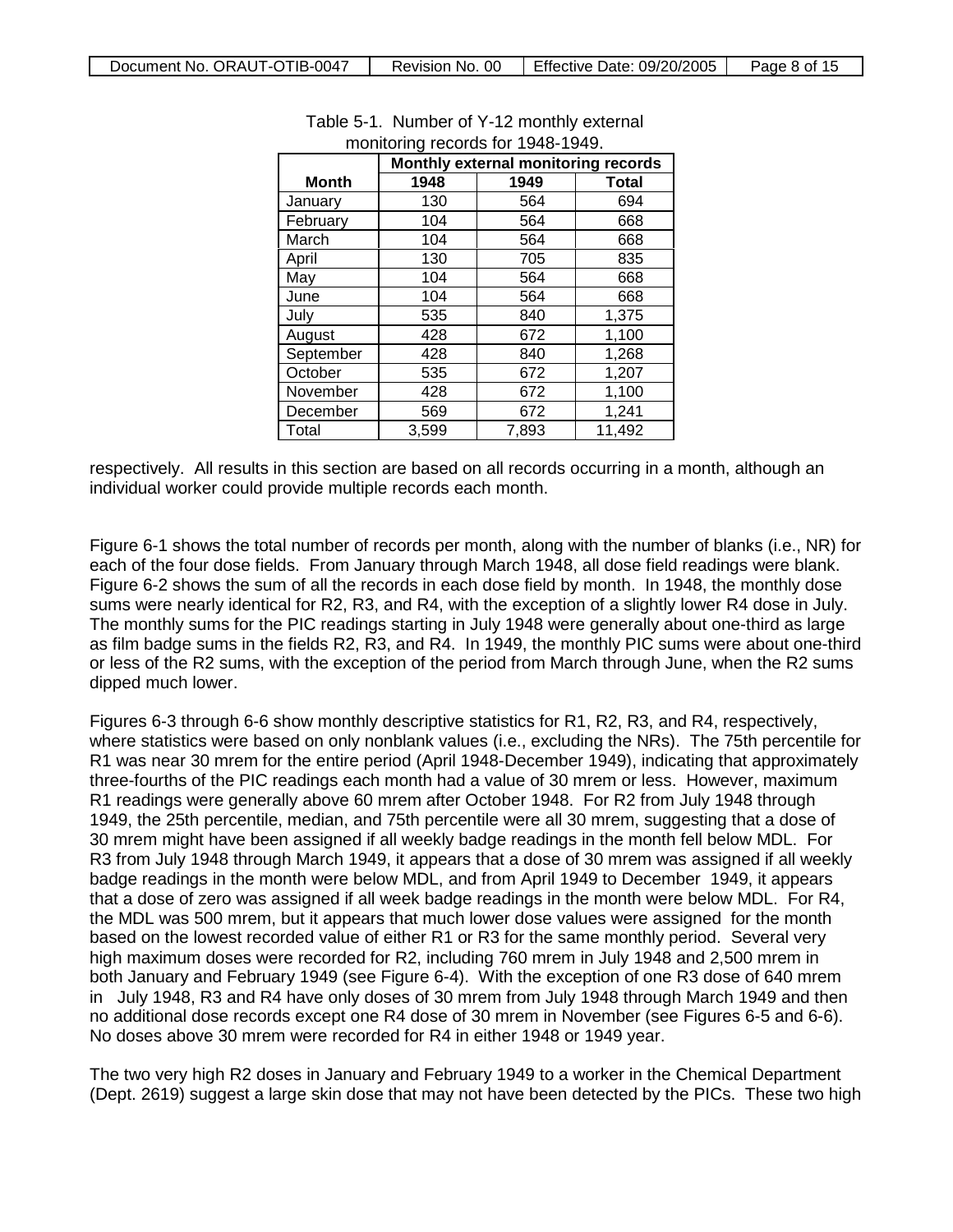|           | Monthly external monitoring records |       |        |  |  |
|-----------|-------------------------------------|-------|--------|--|--|
| Month     | 1948<br>1949<br><b>Total</b>        |       |        |  |  |
| January   | 130                                 | 564   | 694    |  |  |
| February  | 104                                 | 564   | 668    |  |  |
| March     | 104                                 | 564   | 668    |  |  |
| April     | 130                                 | 705   | 835    |  |  |
| May       | 104                                 | 564   | 668    |  |  |
| June      | 104                                 | 564   | 668    |  |  |
| July      | 535                                 | 840   | 1,375  |  |  |
| August    | 428                                 | 672   | 1,100  |  |  |
| September | 428                                 | 840   | 1,268  |  |  |
| October   | 535                                 | 672   | 1,207  |  |  |
| November  | 428                                 | 672   | 1,100  |  |  |
| December  | 569                                 | 672   | 1,241  |  |  |
| Total     | 3,599                               | 7,893 | 11,492 |  |  |

### Table 5-1. Number of Y-12 monthly external monitoring records for 1948-1949.

respectively. All results in this section are based on all records occurring in a month, although an individual worker could provide multiple records each month.

Figure 6-1 shows the total number of records per month, along with the number of blanks (i.e., NR) for each of the four dose fields. From January through March 1948, all dose field readings were blank. Figure 6-2 shows the sum of all the records in each dose field by month. In 1948, the monthly dose sums were nearly identical for R2, R3, and R4, with the exception of a slightly lower R4 dose in July. The monthly sums for the PIC readings starting in July 1948 were generally about one-third as large as film badge sums in the fields R2, R3, and R4. In 1949, the monthly PIC sums were about one-third or less of the R2 sums, with the exception of the period from March through June, when the R2 sums dipped much lower.

Figures 6-3 through 6-6 show monthly descriptive statistics for R1, R2, R3, and R4, respectively, where statistics were based on only nonblank values (i.e., excluding the NRs). The 75th percentile for R1 was near 30 mrem for the entire period (April 1948-December 1949), indicating that approximately three-fourths of the PIC readings each month had a value of 30 mrem or less. However, maximum R1 readings were generally above 60 mrem after October 1948. For R2 from July 1948 through 1949, the 25th percentile, median, and 75th percentile were all 30 mrem, suggesting that a dose of 30 mrem might have been assigned if all weekly badge readings in the month fell below MDL. For R3 from July 1948 through March 1949, it appears that a dose of 30 mrem was assigned if all weekly badge readings in the month were below MDL, and from April 1949 to December 1949, it appears that a dose of zero was assigned if all week badge readings in the month were below MDL. For R4, the MDL was 500 mrem, but it appears that much lower dose values were assigned for the month based on the lowest recorded value of either R1 or R3 for the same monthly period. Several very high maximum doses were recorded for R2, including 760 mrem in July 1948 and 2,500 mrem in both January and February 1949 (see Figure 6-4). With the exception of one R3 dose of 640 mrem in July 1948, R3 and R4 have only doses of 30 mrem from July 1948 through March 1949 and then no additional dose records except one R4 dose of 30 mrem in November (see Figures 6-5 and 6-6). No doses above 30 mrem were recorded for R4 in either 1948 or 1949 year.

The two very high R2 doses in January and February 1949 to a worker in the Chemical Department (Dept. 2619) suggest a large skin dose that may not have been detected by the PICs. These two high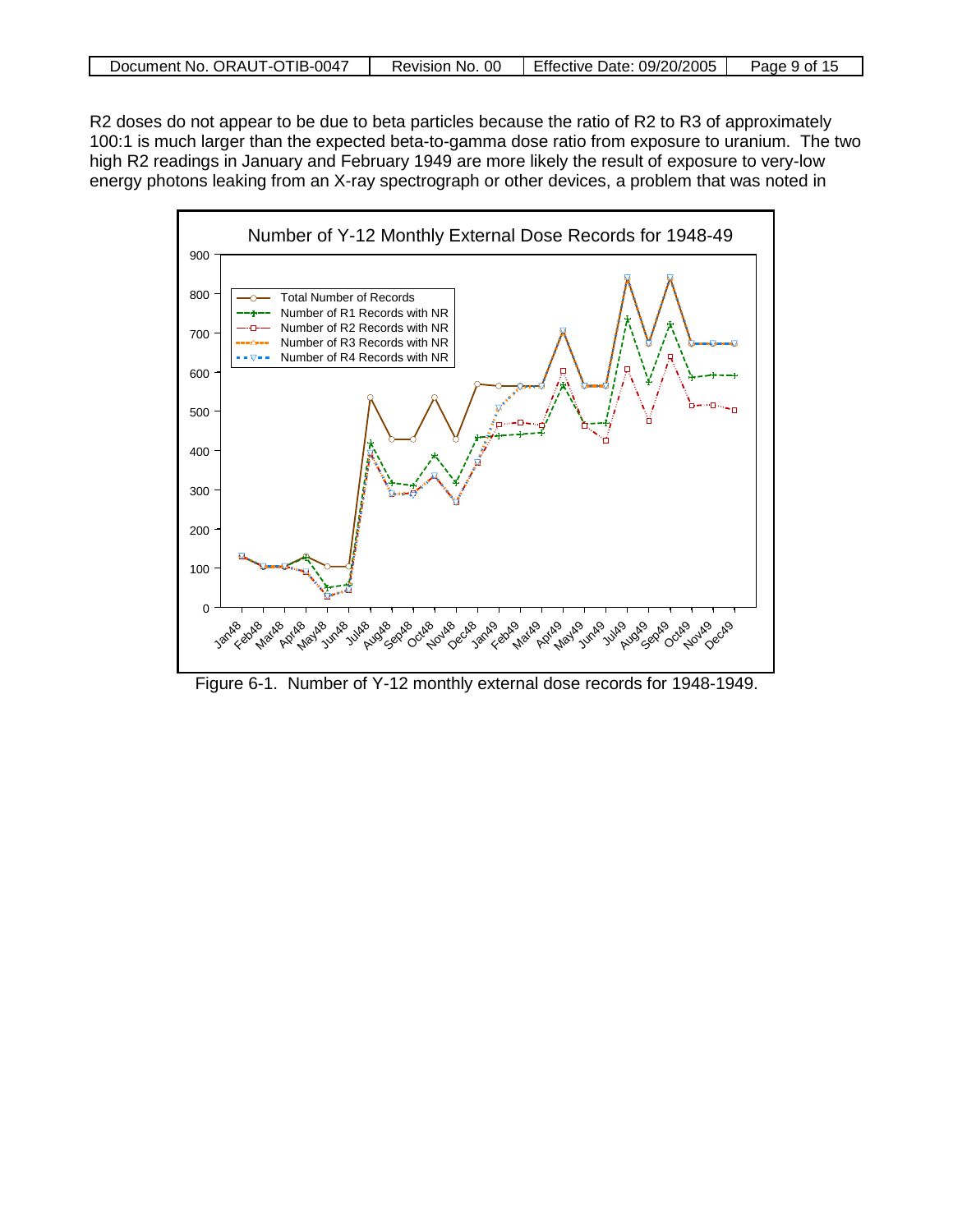| Document No. ORAUT-OTIB-0047 | -00<br><b>Revision</b><br>No. | Effective<br>Date: 09/20/2005 | . 9 of<br>Page |
|------------------------------|-------------------------------|-------------------------------|----------------|

R2 doses do not appear to be due to beta particles because the ratio of R2 to R3 of approximately 100:1 is much larger than the expected beta-to-gamma dose ratio from exposure to uranium. The two high R2 readings in January and February 1949 are more likely the result of exposure to very-low energy photons leaking from an X-ray spectrograph or other devices, a problem that was noted in



Figure 6-1. Number of Y-12 monthly external dose records for 1948-1949.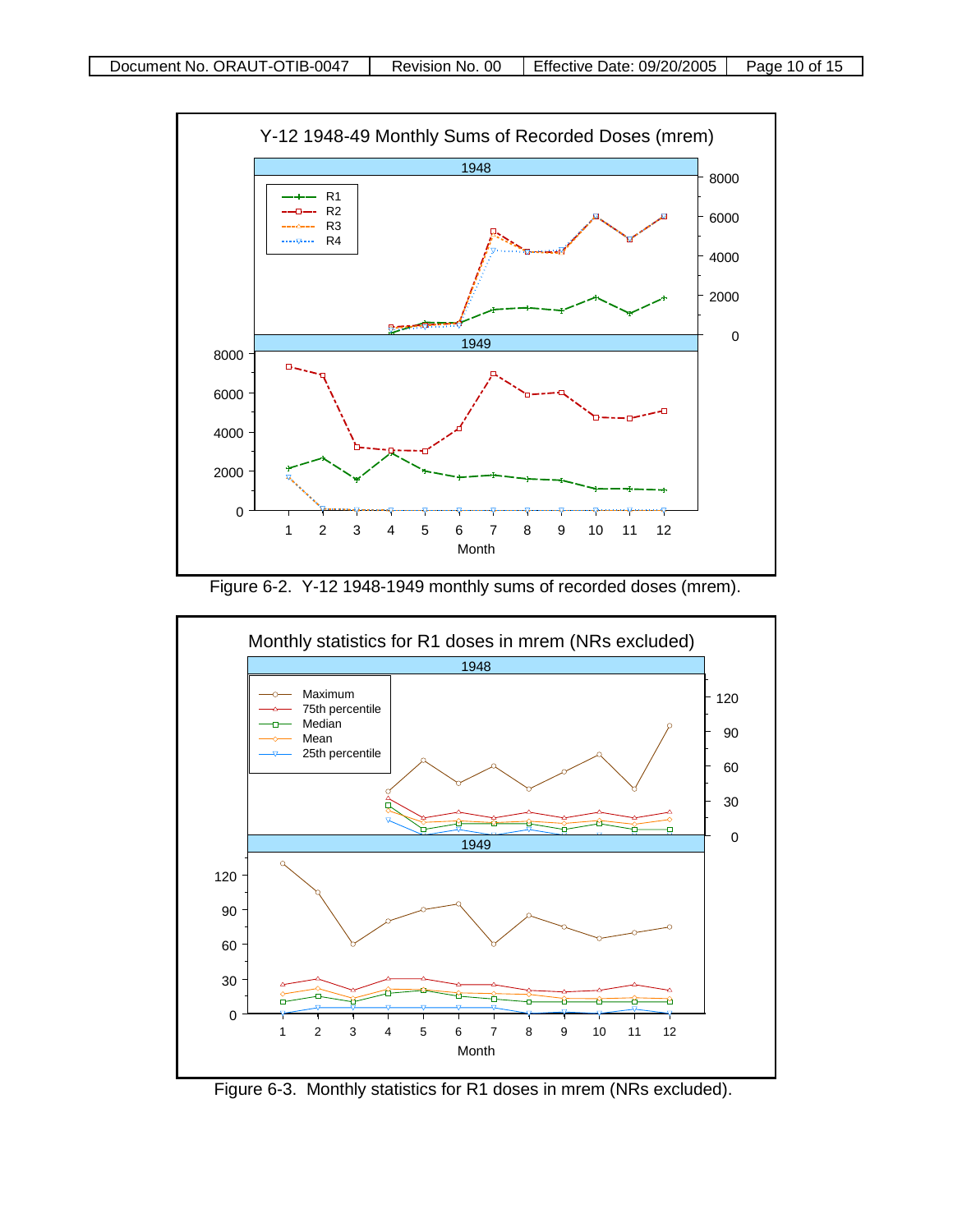

Figure 6-2. Y-12 1948-1949 monthly sums of recorded doses (mrem).



Figure 6-3. Monthly statistics for R1 doses in mrem (NRs excluded).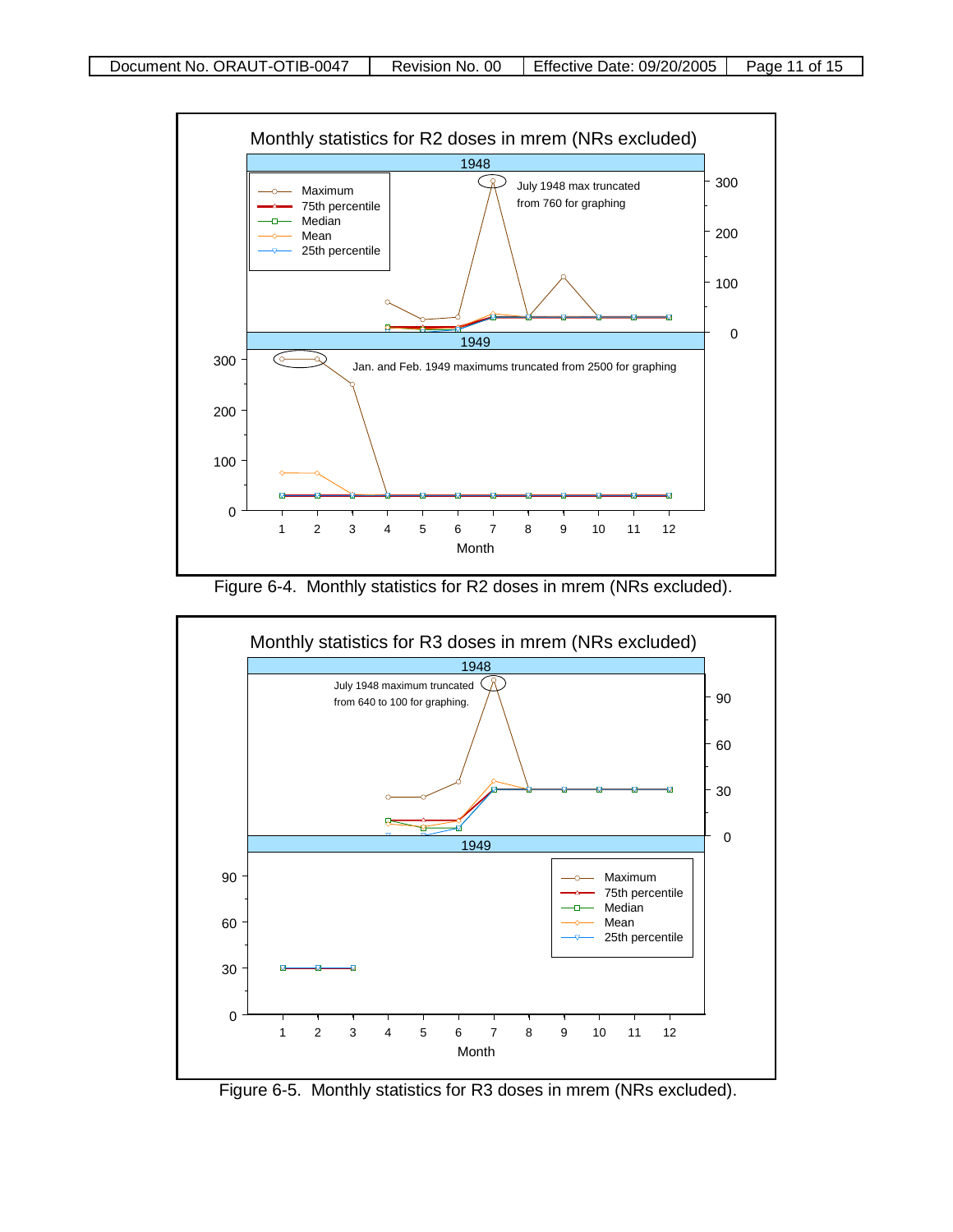

Figure 6-4. Monthly statistics for R2 doses in mrem (NRs excluded).



Figure 6-5. Monthly statistics for R3 doses in mrem (NRs excluded).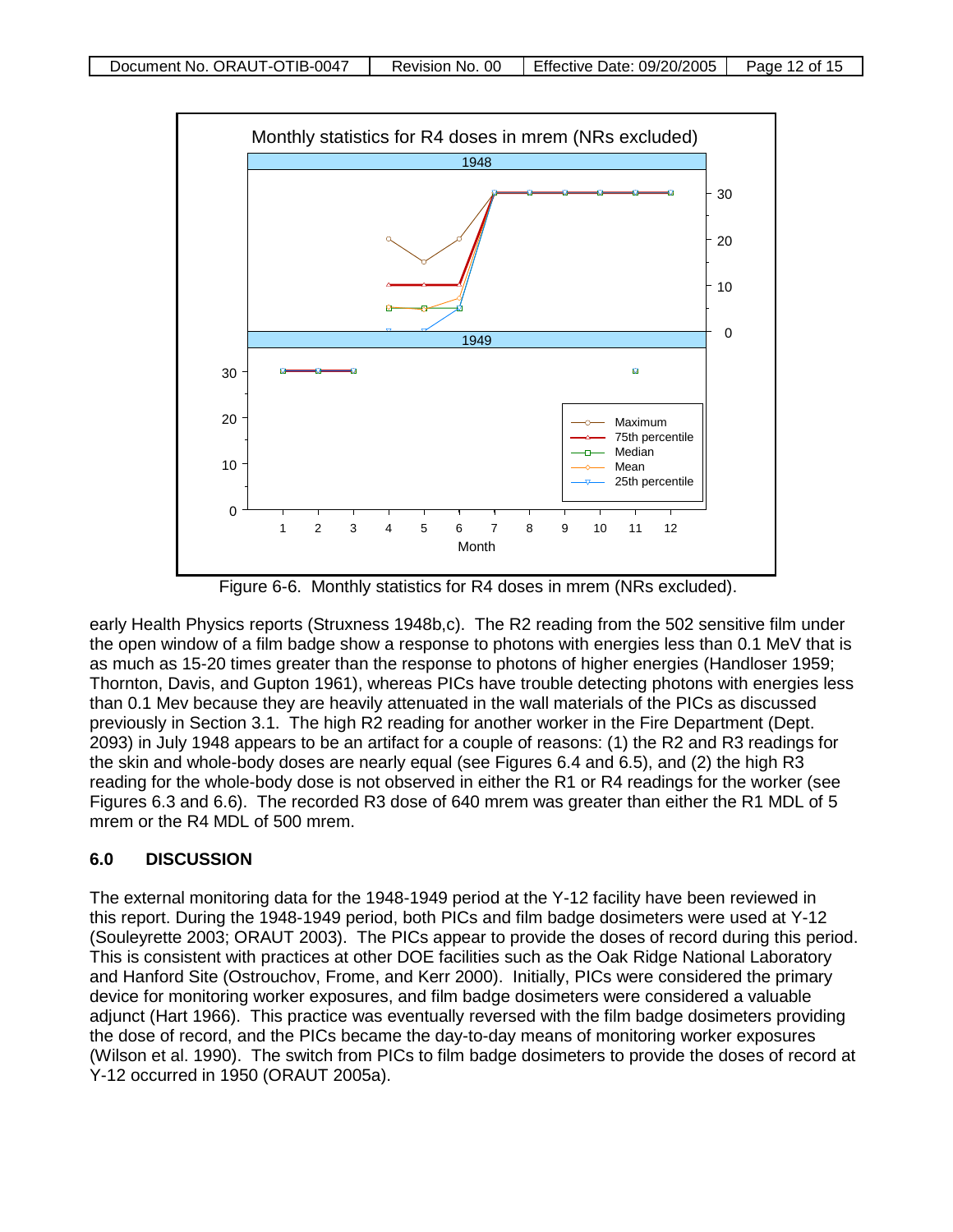

Figure 6-6. Monthly statistics for R4 doses in mrem (NRs excluded).

early Health Physics reports (Struxness 1948b,c). The R2 reading from the 502 sensitive film under the open window of a film badge show a response to photons with energies less than 0.1 MeV that is as much as 15-20 times greater than the response to photons of higher energies (Handloser 1959; Thornton, Davis, and Gupton 1961), whereas PICs have trouble detecting photons with energies less than 0.1 Mev because they are heavily attenuated in the wall materials of the PICs as discussed previously in Section 3.1. The high R2 reading for another worker in the Fire Department (Dept. 2093) in July 1948 appears to be an artifact for a couple of reasons: (1) the R2 and R3 readings for the skin and whole-body doses are nearly equal (see Figures 6.4 and 6.5), and (2) the high R3 reading for the whole-body dose is not observed in either the R1 or R4 readings for the worker (see Figures 6.3 and 6.6). The recorded R3 dose of 640 mrem was greater than either the R1 MDL of 5 mrem or the R4 MDL of 500 mrem.

### **6.0 DISCUSSION**

The external monitoring data for the 1948-1949 period at the Y-12 facility have been reviewed in this report. During the 1948-1949 period, both PICs and film badge dosimeters were used at Y-12 (Souleyrette 2003; ORAUT 2003). The PICs appear to provide the doses of record during this period. This is consistent with practices at other DOE facilities such as the Oak Ridge National Laboratory and Hanford Site (Ostrouchov, Frome, and Kerr 2000). Initially, PICs were considered the primary device for monitoring worker exposures, and film badge dosimeters were considered a valuable adjunct (Hart 1966). This practice was eventually reversed with the film badge dosimeters providing the dose of record, and the PICs became the day-to-day means of monitoring worker exposures (Wilson et al. 1990). The switch from PICs to film badge dosimeters to provide the doses of record at Y-12 occurred in 1950 (ORAUT 2005a).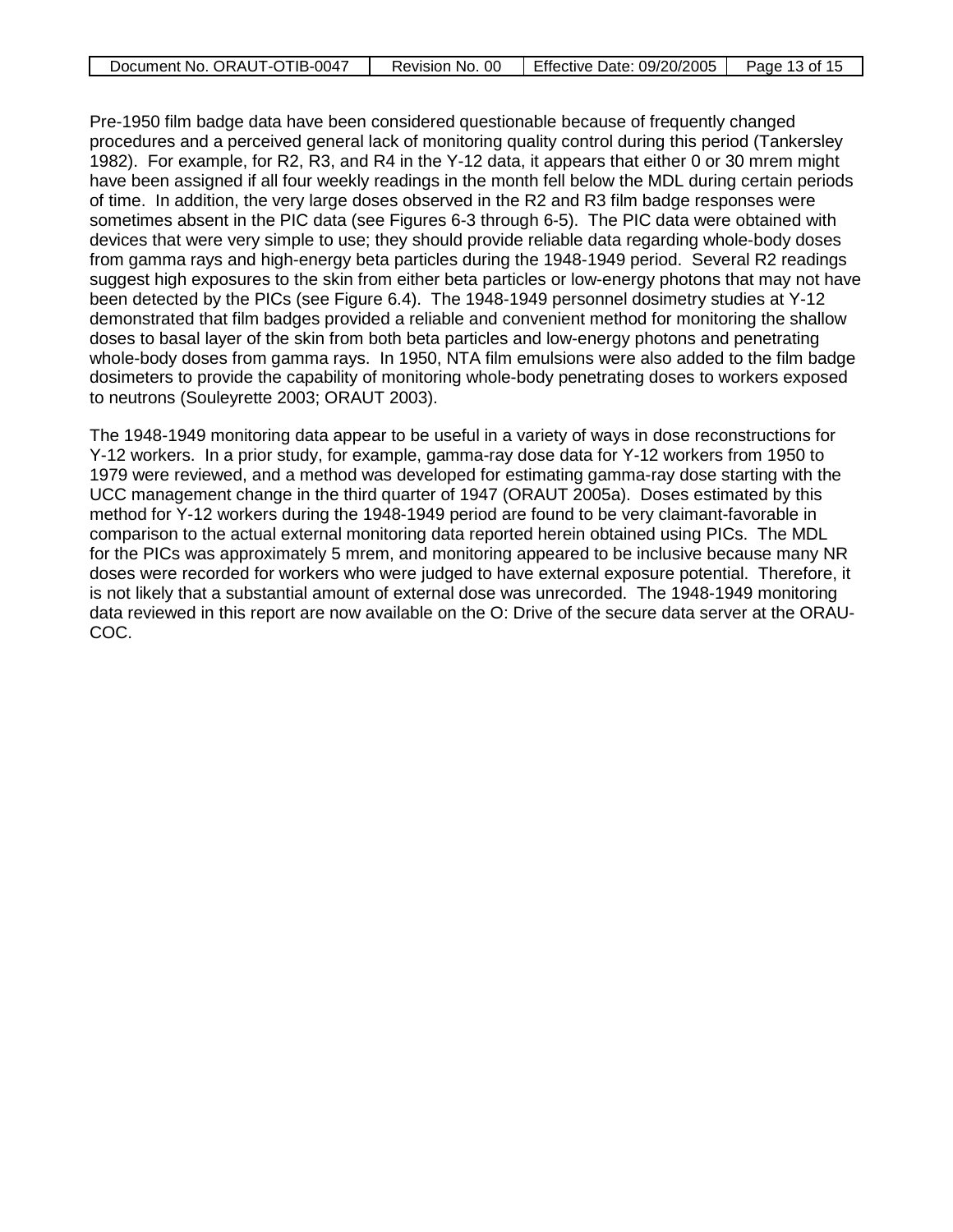| Document No. ORAUT-OTIB-0047 | Revision No. 00 | Effective Date: 09/20/2005 | Page 13 of 15 |
|------------------------------|-----------------|----------------------------|---------------|

Pre-1950 film badge data have been considered questionable because of frequently changed procedures and a perceived general lack of monitoring quality control during this period (Tankersley 1982). For example, for R2, R3, and R4 in the Y-12 data, it appears that either 0 or 30 mrem might have been assigned if all four weekly readings in the month fell below the MDL during certain periods of time. In addition, the very large doses observed in the R2 and R3 film badge responses were sometimes absent in the PIC data (see Figures 6-3 through 6-5). The PIC data were obtained with devices that were very simple to use; they should provide reliable data regarding whole-body doses from gamma rays and high-energy beta particles during the 1948-1949 period. Several R2 readings suggest high exposures to the skin from either beta particles or low-energy photons that may not have been detected by the PICs (see Figure 6.4). The 1948-1949 personnel dosimetry studies at Y-12 demonstrated that film badges provided a reliable and convenient method for monitoring the shallow doses to basal layer of the skin from both beta particles and low-energy photons and penetrating whole-body doses from gamma rays. In 1950, NTA film emulsions were also added to the film badge dosimeters to provide the capability of monitoring whole-body penetrating doses to workers exposed to neutrons (Souleyrette 2003; ORAUT 2003).

The 1948-1949 monitoring data appear to be useful in a variety of ways in dose reconstructions for Y-12 workers. In a prior study, for example, gamma-ray dose data for Y-12 workers from 1950 to 1979 were reviewed, and a method was developed for estimating gamma-ray dose starting with the UCC management change in the third quarter of 1947 (ORAUT 2005a). Doses estimated by this method for Y-12 workers during the 1948-1949 period are found to be very claimant-favorable in comparison to the actual external monitoring data reported herein obtained using PICs. The MDL for the PICs was approximately 5 mrem, and monitoring appeared to be inclusive because many NR doses were recorded for workers who were judged to have external exposure potential. Therefore, it is not likely that a substantial amount of external dose was unrecorded. The 1948-1949 monitoring data reviewed in this report are now available on the O: Drive of the secure data server at the ORAU-COC.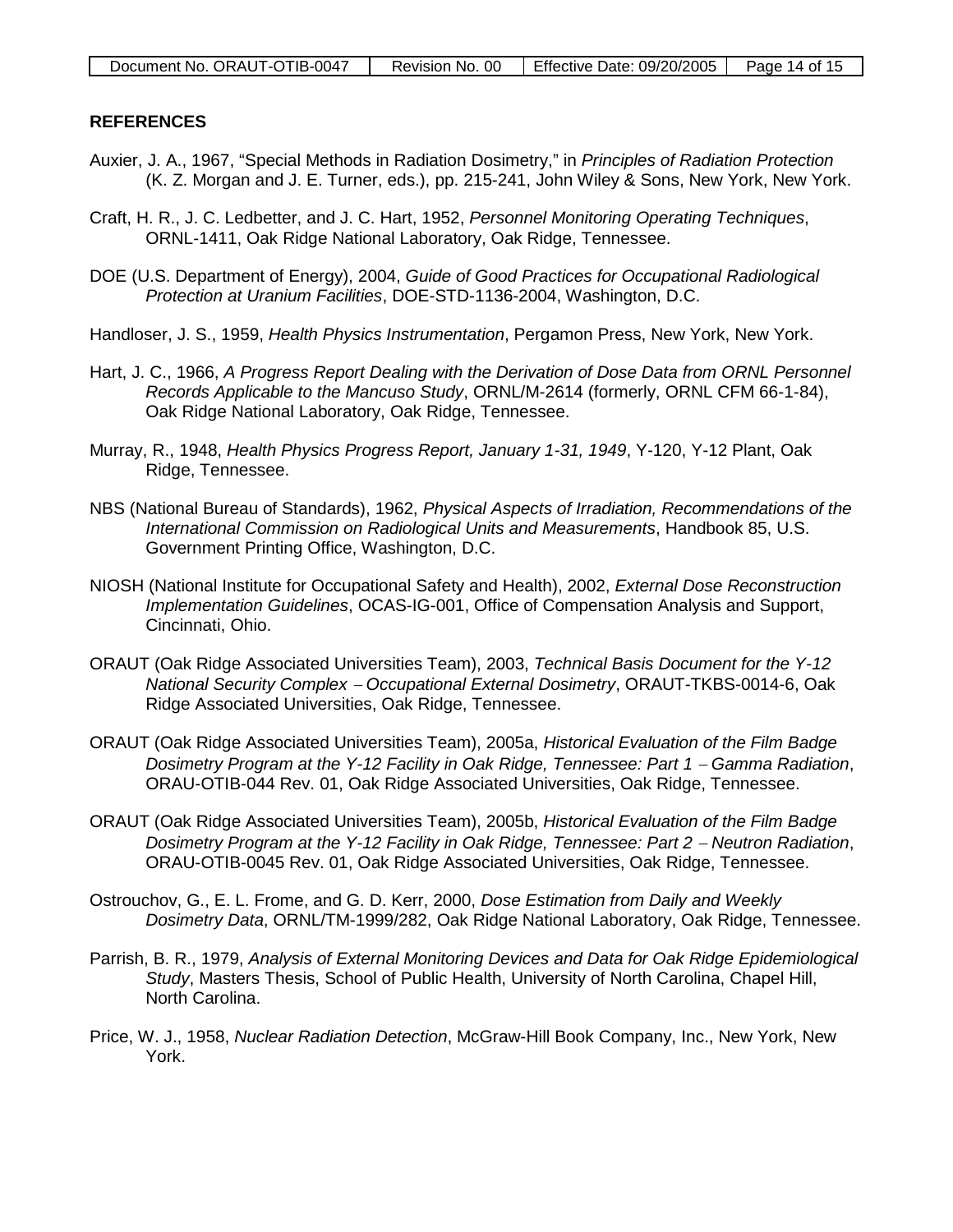### **REFERENCES**

- Auxier, J. A., 1967, "Special Methods in Radiation Dosimetry," in *Principles of Radiation Protection* (K. Z. Morgan and J. E. Turner, eds.), pp. 215-241, John Wiley & Sons, New York, New York.
- Craft, H. R., J. C. Ledbetter, and J. C. Hart, 1952, *Personnel Monitoring Operating Techniques*, ORNL-1411, Oak Ridge National Laboratory, Oak Ridge, Tennessee.
- DOE (U.S. Department of Energy), 2004, *Guide of Good Practices for Occupational Radiological Protection at Uranium Facilities*, DOE-STD-1136-2004, Washington, D.C.
- Handloser, J. S., 1959, *Health Physics Instrumentation*, Pergamon Press, New York, New York.
- Hart, J. C., 1966, *A Progress Report Dealing with the Derivation of Dose Data from ORNL Personnel Records Applicable to the Mancuso Study*, ORNL/M-2614 (formerly, ORNL CFM 66-1-84), Oak Ridge National Laboratory, Oak Ridge, Tennessee.
- Murray, R., 1948, *Health Physics Progress Report, January 1-31, 1949*, Y-120, Y-12 Plant, Oak Ridge, Tennessee.
- NBS (National Bureau of Standards), 1962, *Physical Aspects of Irradiation, Recommendations of the International Commission on Radiological Units and Measurements*, Handbook 85, U.S. Government Printing Office, Washington, D.C.
- NIOSH (National Institute for Occupational Safety and Health), 2002, *External Dose Reconstruction Implementation Guidelines*, OCAS-IG-001, Office of Compensation Analysis and Support, Cincinnati, Ohio.
- ORAUT (Oak Ridge Associated Universities Team), 2003, *Technical Basis Document for the Y-12 National Security Complex* <sup>−</sup> *Occupational External Dosimetry*, ORAUT-TKBS-0014-6, Oak Ridge Associated Universities, Oak Ridge, Tennessee.
- ORAUT (Oak Ridge Associated Universities Team), 2005a, *Historical Evaluation of the Film Badge*  Dosimetry Program at the Y-12 Facility in Oak Ridge, Tennessee: Part 1 – Gamma Radiation, ORAU-OTIB-044 Rev. 01, Oak Ridge Associated Universities, Oak Ridge, Tennessee.
- ORAUT (Oak Ridge Associated Universities Team), 2005b, *Historical Evaluation of the Film Badge*  Dosimetry Program at the Y-12 Facility in Oak Ridge, Tennessee: Part 2 – Neutron Radiation, ORAU-OTIB-0045 Rev. 01, Oak Ridge Associated Universities, Oak Ridge, Tennessee.
- Ostrouchov, G., E. L. Frome, and G. D. Kerr, 2000, *Dose Estimation from Daily and Weekly Dosimetry Data*, ORNL/TM-1999/282, Oak Ridge National Laboratory, Oak Ridge, Tennessee.
- Parrish, B. R., 1979, *Analysis of External Monitoring Devices and Data for Oak Ridge Epidemiological Study*, Masters Thesis, School of Public Health, University of North Carolina, Chapel Hill, North Carolina.
- Price, W. J., 1958, *Nuclear Radiation Detection*, McGraw-Hill Book Company, Inc., New York, New York.